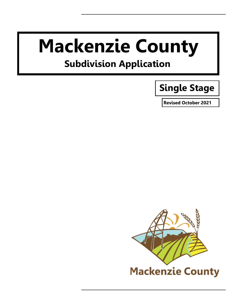# **Mackenzie County**

# **Subdivision Application**

# **Single Stage**

**Revised October 2021**

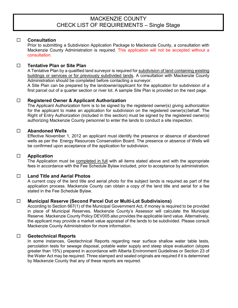# MACKENZIE COUNTY CHECK LIST OF REQUIREMENTS – Single Stage

#### **Consultation**

Prior to submitting a Subdivision Application Package to Mackenzie County, a consultation with Mackenzie County Administration is required. This application will not be accepted without a consultation.

# **Tentative Plan or Site Plan**

A Tentative Plan by a qualified land surveyor is required for subdivision of land containing existing buildings or services or for previously subdivided lands. A consultation with Mackenzie County Administration should be completed before contacting a surveyor.

A Site Plan can be prepared by the landowner/applicant for the application for subdivision of a first parcel out of a quarter section or river lot. A sample Site Plan is provided on the next page.

# **Registered Owner & Applicant Authorization**

The Applicant Authorization form is to be signed by the registered owner(s) giving authorization for the applicant to make an application for subdivision on the registered owner(s) behalf. The Right of Entry Authorization (included in this section) must be signed by the registered owner(s) authorizing Mackenzie County personnel to enter the lands to conduct a site inspection.

## **Abandoned Wells**

Effective November 1, 2012 an applicant must identify the presence or absence of abandoned wells as per the Energy Resources Conservation Board. The presence or absence of Wells will be confirmed upon acceptance of the application for subdivision.

#### **Application**

The Application must be completed in full with all items stated above and with the appropriate fees in accordance with the Fee Schedule Bylaw included, prior to acceptance by administration.

# **Land Title and Aerial Photos**

A current copy of the land title and aerial photo for the subject lands is required as part of the application process. Mackenzie County can obtain a copy of the land title and aerial for a fee stated in the Fee Schedule Bylaw.

# **Municipal Reserve (Second Parcel Out or Multi-Lot Subdivisions)**

According to Section 667(1) of the Municipal Government Act, if money is required to be provided in place of Municipal Reserves, Mackenzie County's Assessor will calculate the Municipal Reserve. Mackenzie County Policy DEV005 also provides the applicable land value. Alternatively, the applicant may provide a market value appraisal of the lands to be subdivided. Please consult Mackenzie County Administration for more information.

#### **Geotechnical Reports**

In some instances, Geotechnical Reports regarding near surface shallow water table tests, percolation tests for sewage disposal, potable water supply and steep slope evaluation (slopes greater than 15%) prepared in accordance with Alberta Environment Guidelines or Section 23 of the Water Act may be required. Three stamped and sealed originals are required if it is determined by Mackenzie County that any of these reports are required.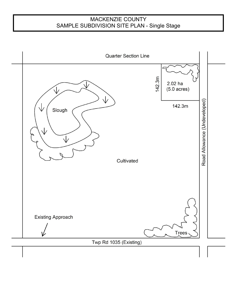# MACKENZIE COUNTY SAMPLE SUBDIVISION SITE PLAN - Single Stage

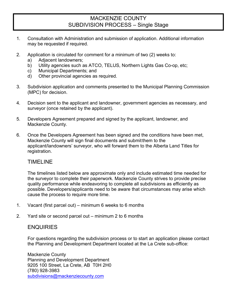# MACKENZIE COUNTY SUBDIVISION PROCESS – Single Stage

- 1. Consultation with Administration and submission of application. Additional information may be requested if required.
- 2. Application is circulated for comment for a minimum of two (2) weeks to:
	- a) Adjacent landowners;
	- b) Utility agencies such as ATCO, TELUS, Northern Lights Gas Co-op, etc;
	- c) Municipal Departments; and
	- d) Other provincial agencies as required.
- 3. Subdivision application and comments presented to the Municipal Planning Commission (MPC) for decision.
- 4. Decision sent to the applicant and landowner, government agencies as necessary, and surveyor (once retained by the applicant).
- 5. Developers Agreement prepared and signed by the applicant, landowner, and Mackenzie County.
- 6. Once the Developers Agreement has been signed and the conditions have been met, Mackenzie County will sign final documents and submitthem to the applicant/landowners' surveyor, who will forward them to the Alberta Land Titles for registration.

# TIMELINE

The timelines listed below are approximate only and include estimated time needed for the surveyor to complete their paperwork. Mackenzie County strives to provide precise quality performance while endeavoring to complete all subdivisions as efficiently as possible. Developers/applicants need to be aware that circumstances may arise which cause the process to require more time.

- 1. Vacant (first parcel out) minimum 6 weeks to 6 months
- 2. Yard site or second parcel out minimum 2 to 6 months

# **ENQUIRIES**

For questions regarding the subdivision process or to start an application please contact the Planning and Development Department located at the La Crete sub-office:

Mackenzie County Planning and Development Department 9205 100 Street, La Crete, AB T0H 2H0 (780) 928-3983 [subdivisions@mackenziecounty.com](mailto:subdivisions@mackenziecounty.com)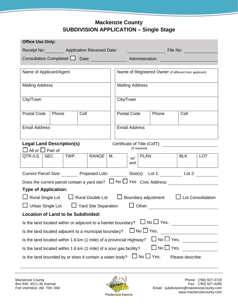# **Mackenzie County SUBDIVISION APPLICATION – Single Stage**

| <b>Office Use Only:</b>             |                                   |                    |                                                                     |    |                        |                      |                                                        |                                                                                                                      |                             |            |
|-------------------------------------|-----------------------------------|--------------------|---------------------------------------------------------------------|----|------------------------|----------------------|--------------------------------------------------------|----------------------------------------------------------------------------------------------------------------------|-----------------------------|------------|
|                                     |                                   |                    | Receipt No: Application Received Date:                              |    |                        |                      |                                                        | and the control of <b>File No:</b> The Control of the Control of the Control of the Control of the Control of the Co |                             |            |
|                                     |                                   |                    |                                                                     |    |                        |                      |                                                        |                                                                                                                      | <u> Andrew Maria (1989)</u> |            |
|                                     |                                   |                    |                                                                     |    |                        |                      |                                                        |                                                                                                                      |                             |            |
| Name of Applicant/Agent             |                                   |                    |                                                                     |    |                        |                      | Name of Registered Owner (if different from applicant) |                                                                                                                      |                             |            |
| <b>Mailing Address</b>              |                                   |                    |                                                                     |    | <b>Mailing Address</b> |                      |                                                        |                                                                                                                      |                             |            |
| City/Town                           |                                   |                    |                                                                     |    | City/Town              |                      |                                                        |                                                                                                                      |                             |            |
|                                     | Postal Code   Phone               | Cell               |                                                                     |    |                        | Postal Code          |                                                        | Phone                                                                                                                | Cell                        |            |
| <b>Email Address</b>                |                                   |                    |                                                                     |    |                        | <b>Email Address</b> |                                                        |                                                                                                                      |                             |            |
|                                     | <b>Legal Land Description(s):</b> |                    |                                                                     |    |                        |                      |                                                        | Certificate of Title (CofT):                                                                                         |                             |            |
| $\square$ All or $\square$ Part of: |                                   |                    |                                                                     |    |                        |                      | (if required)                                          |                                                                                                                      |                             |            |
|                                     |                                   | QTR./LS. SEC. TWP. | RANGE                                                               | М. |                        | or/<br>and           | PLAN                                                   |                                                                                                                      | <b>BLK</b>                  | <b>LOT</b> |
|                                     |                                   |                    |                                                                     |    |                        |                      |                                                        | Current Parcel Size: Proposed Lots: _________ Size(s): Lot 1: _________ Lot 2: _________                             |                             |            |
|                                     |                                   |                    |                                                                     |    |                        |                      |                                                        | Does the current parcel contain a yard site? $\Box$ No $\Box$ Yes Civic Address:                                     |                             |            |
|                                     | <b>Type of Application:</b>       |                    |                                                                     |    |                        |                      |                                                        |                                                                                                                      |                             |            |
|                                     |                                   |                    |                                                                     |    |                        |                      |                                                        | □ Rural Single Lot   □ Rural Double Lot   □ Boundary adjustment                                                      | $\Box$ Lot Consolidation    |            |
|                                     |                                   |                    | □ Urban Single Lot   □ Yard Site Separation   □ Other:              |    |                        |                      |                                                        |                                                                                                                      |                             |            |
|                                     |                                   |                    | <b>Location of Land to be Subdivided:</b>                           |    |                        |                      |                                                        |                                                                                                                      |                             |            |
|                                     |                                   |                    | Is the land located within or adjacent to a hamlet boundary?        |    |                        |                      |                                                        | $\Box$ No $\Box$ Yes, _________________                                                                              |                             |            |
|                                     |                                   |                    | Is the land located adjacent to a municipal boundary?               |    |                        |                      |                                                        | ∐ No □ Yes,                                                                                                          |                             |            |
|                                     |                                   |                    | Is the land located within 1.6 km (1 mile) of a provincial Highway? |    |                        |                      |                                                        |                                                                                                                      |                             |            |
|                                     |                                   |                    | Is the land located within 1.6 km (1 mile) of a sour gas facility?  |    |                        |                      |                                                        | $\Box$ No $\Box$ Yes,                                                                                                |                             |            |
|                                     |                                   |                    | Is the land bounded by or does it contain a water body?             |    |                        |                      |                                                        | $No \perp Yes$ ,                                                                                                     | Please describe:            |            |

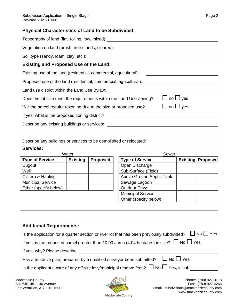# **Physical Characteristics of Land to be Subdivided:**

Describe any buildings or services to be demolished or relocated:

#### **Services:**

|                          | Water           |                 | Sewer                    |  |                          |  |  |
|--------------------------|-----------------|-----------------|--------------------------|--|--------------------------|--|--|
| <b>Type of Service</b>   | <b>Existing</b> | <b>Proposed</b> | <b>Type of Service</b>   |  | <b>Existing Proposed</b> |  |  |
| Dugout                   |                 |                 | Open Discharge           |  |                          |  |  |
| Well                     |                 |                 | Sub-Surface (Field)      |  |                          |  |  |
| Cistern & Hauling        |                 |                 | Above Ground Septic Tank |  |                          |  |  |
| <b>Municipal Service</b> |                 |                 | Sewage Lagoon            |  |                          |  |  |
| Other (specify below)    |                 |                 | <b>Outdoor Privy</b>     |  |                          |  |  |
|                          |                 |                 | <b>Municipal Service</b> |  |                          |  |  |
|                          |                 |                 | Other (specify below)    |  |                          |  |  |

# **Additional Requirements:**

| Is the application for a quarter section or river lot that has been previously subdivided? $\Box$ No $\Box$ Yes |
|-----------------------------------------------------------------------------------------------------------------|
| If yes, is the proposed parcel greater than 10.00 acres (4.04 hectares) in size? $\Box$ No $\Box$ Yes           |
| If yes, why? Please describe:                                                                                   |
| Has a tentative plan, prepared by a qualified surveyor been submitted? $\Box$ No $\Box$ Yes                     |
| Is the applicant aware of any off-site levy/municipal reserve fees? $\Box$ No $\Box$ Yes, initial:              |
|                                                                                                                 |



Mackenzie County (780) 927-3718<br>Box 640, 4511-46 Avenue (780) 927-4266 Email: subdivisions@mackenziecounty.com www.mackenziecounty.com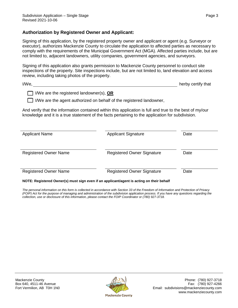# **Authorization by Registered Owner and Applicant:**

Signing of this application, by the registered property owner and applicant or agent (e.g. Surveyor or executor), authorizes Mackenzie County to circulate the application to affected parties as necessary to comply with the requirements of the Municipal Government Act (MGA). Affected parties include, but are not limited to, adjacent landowners, utility companies, government agencies, and surveyors.

Signing of this application also grants permission to Mackenzie County personnel to conduct site inspections of the property. Site inspections include, but are not limited to, land elevation and access review, including taking photos of the property.

| I/We, | herby certify that |  |
|-------|--------------------|--|
|       |                    |  |

| □ I/We are the registered landowner(s), <b>OR</b> |
|---------------------------------------------------|
|---------------------------------------------------|

 $\Box$  I/We are the agent authorized on behalf of the registered landowner,

And verify that the information contained within this application is full and true to the best of my/our knowledge and it is a true statement of the facts pertaining to the application for subdivision.

| <b>Applicant Name</b>        | <b>Applicant Signature</b>        | Date |
|------------------------------|-----------------------------------|------|
| <b>Registered Owner Name</b> | <b>Registered Owner Signature</b> | Date |
| <b>Registered Owner Name</b> | <b>Registered Owner Signature</b> | Date |

#### **NOTE: Registered Owner(s) must sign even if an applicant/agent is acting on their behalf**

*The personal information on this form is collected in accordance with Section 33 of the Freedom of Information and Protection of Privacy (FOIP) Act for the purpose of managing and administration of the subdivision application process. If you have any questions regarding the collection, use or disclosure of this information, please contact the FOIP Coordinator or (780) 927-3718.*

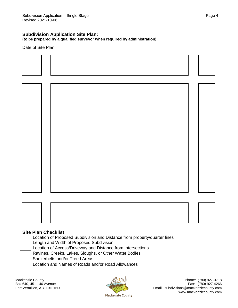# **Subdivision Application Site Plan:**

**(to be prepared by a qualified surveyor when required by administration)**

Date of Site Plan:

#### **Site Plan Checklist**

- Location of Proposed Subdivision and Distance from property/quarter lines Length and Width of Proposed Subdivision
- Location of Access/Driveway and Distance from Intersections
- Ravines, Creeks, Lakes, Sloughs, or Other Water Bodies
- Shelterbelts and/or Treed Areas
	- Location and Names of Roads and/or Road Allowances



Mackenzie County **Phone:** (780) 927-3718 Box 640, 4511-46 Avenue Fax: (780) 927-4266<br>Fort Vermilion, AB T0H 1N0 Fort Vermilion, AB T0H 1N0 Email: subdivisions@mackenziecounty.com www.mackenziecounty.com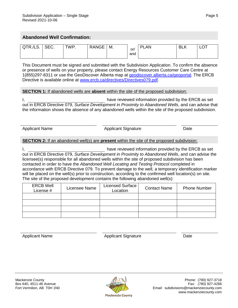# **Abandoned Well Confirmation:**

| $\bigcap$ $\bigcap$ $\bigcap$ $\bigcap$ $\bigcap$ $\bigcap$<br>$\boldsymbol{\mathsf{x}}$<br>" אי | ັບ∟∪. | <b>TWP</b> | ANGE<br>P | M. | or/ | AN<br>DI | <b>BLK</b> | ◡ |
|--------------------------------------------------------------------------------------------------|-------|------------|-----------|----|-----|----------|------------|---|
|                                                                                                  |       |            |           |    | and |          |            |   |

This Document must be signed and submitted with the Subdivision Application. To confirm the absence or presence of wells on your property, please contact Energy Resources Customer Care Centre at 1(855)297-8311 or use the GeoDiscover Alberta map at geodiscover.alberta.ca/geoportal. The ERCB Directive is available online at www.ercb.ca/directives/Directives079.pdf.

#### **SECTION 1:** If abandoned wells are **absent** within the site of the proposed subdivision:

I, have reviewed information provided by the ERCB as set out in ERCB Directive 079, *Surface Development in Proximity to Abandoned Wells*, and can advise that the information shows the absence of any abandoned wells within the site of the proposed subdivision.

Applicant Name Applicant Signature Date

## **SECTION 2:** If an abandoned well(s) are **present** within the site of the proposed subdivision:

I, have reviewed information provided by the ERCB as set out in ERCB Directive 079, *Surface Development in Proximity to Abandoned Wells*, and can advise the licensee(s) responsible for all abandoned wells within the site of proposed subdivision has been contacted in order to have the *Abandoned Well Locating and Testing Protocol* completed in accordance with ERCB Directive 079. To prevent damage to the well, a temporary identification marker will be placed on the well(s) prior to construction, according to the confirmed well location(s) on site. The site of the proposed development contains the following abandoned well(s):

| <b>ERCB Well</b><br>License # | Licensee Name | <b>Licensed Surface</b><br>Location | <b>Contact Name</b> | <b>Phone Number</b> |
|-------------------------------|---------------|-------------------------------------|---------------------|---------------------|
|                               |               |                                     |                     |                     |
|                               |               |                                     |                     |                     |
|                               |               |                                     |                     |                     |
|                               |               |                                     |                     |                     |

Applicant Name Applicant Signature Date